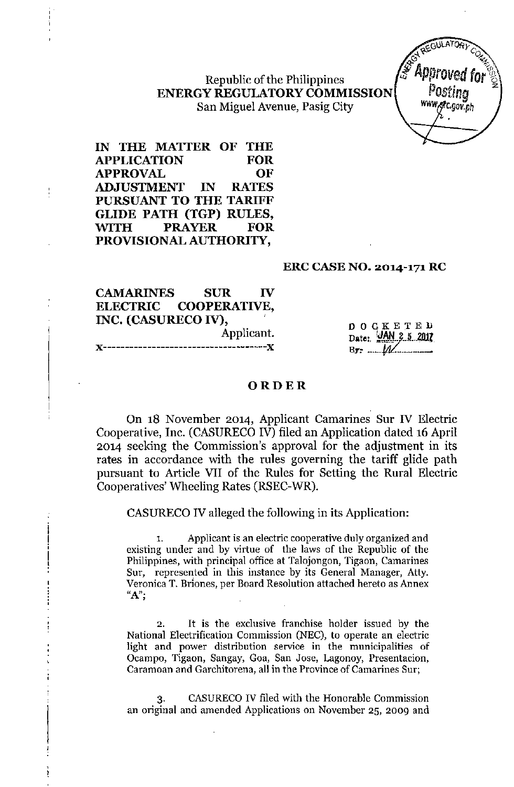Republic of the Philippines **ENERGY REGULATORYCOMMISSION** San Miguel Avenue, Pasig City

**IN THE MATTER OF THE APPLICATION FOR APPROVAL OF ADJUSTMENT IN RATES PURSUANT TO THE TARIFF GLIDE PATH (TGP) RULES,** ~TH **PRAYER FOR PROVISIONAL AUTHORITY,**

#### **ERC CASE NO. 2014-171 RC**

# **CAMARINES SUR IV ELECTRIC COOPERATIVE, INC. (CASURECO IV), ,**

Applicant. ------------- $\mathbf x$ 

DOCKETED Date: **JAN 2 5 2017 By:- ~..***--W ....--..-*

#### **ORDER**

On 18 November 2014, Applicant Camarines Sur IV Electric Cooperative, Inc. (CASURECO IV) filed an Application dated 16 April 2014 seeking the Commission's approval for the adjustment in its rates in accordance with the rules governing the tariff glide path pursuant to Article VII of the Rules for Setting the Rural Electric Cooperatives' Wheeling Rates (RSEC-WR).

CASURECO IV alleged the following in its Application:

**1. Applicant is an electric cooperative duly organized and** existing under and by virtue of the laws of the Republic of the **Philippines, with principal office at Talojongon, Tigaon, Camarines Sur, represented in this instance by its General Manager, Atty. Veronica T. Bnones, per Board Resolution attached hereto as Annex "A";**

**2. It is the exclusive franchise holder issued by the National Electrification Commission (NEe), to operate an electric light and power distribution service in the municipalities of Ocampo, Tigaon, Sangay, Goa, San Jose, Lagonoy, Presentacion, Cararnoan and Garchitorena, all in the Province of Camarines Sur;**

3. CASURECOIV filed with the Honorable Commission **an original and amended Applications on November 25, 2009 and**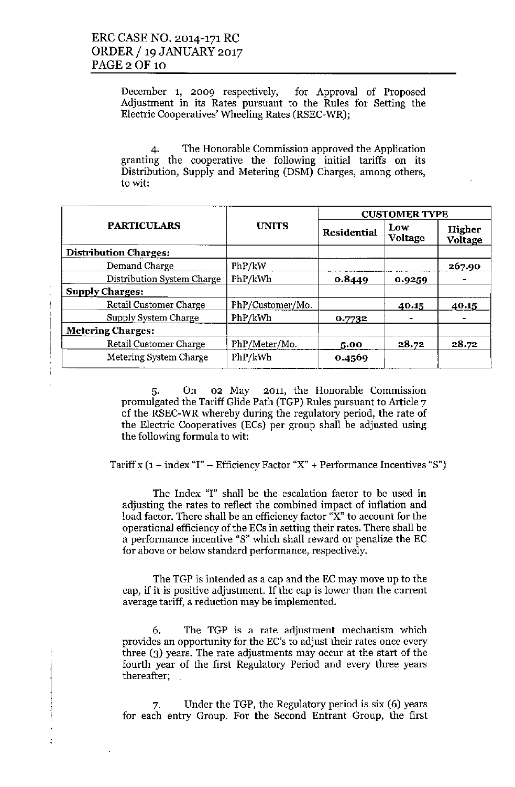December 1, 2009 respectively, for Approval of Proposed Adjustment in its Rates pursuant to the Rules for Setting the Electric Cooperatives' Wheeling Rates (RSEC-WR);

4. The Honorable Commission approved the Application granting the cooperative the following initial tariffs on its Distribution, Supply and Metering (DSM) Charges, among others, to wit:

|                              |                  | <b>CUSTOMER TYPE</b> |                       |                   |  |
|------------------------------|------------------|----------------------|-----------------------|-------------------|--|
| <b>PARTICULARS</b>           | <b>UNITS</b>     | Residential          | Low<br><b>Voltage</b> | Higher<br>Voltage |  |
| <b>Distribution Charges:</b> |                  |                      |                       |                   |  |
| Demand Charge                | PhP/kW           |                      |                       | 267.90            |  |
| Distribution System Charge   | PhP/kWh          | 0.8449               | 0.9259                |                   |  |
| <b>Supply Charges:</b>       |                  |                      |                       |                   |  |
| Retail Customer Charge       | PhP/Customer/Mo. |                      | 40.15                 | 40.15             |  |
| Supply System Charge         | PhP/kWh          | 0.7732               |                       |                   |  |
| <b>Metering Charges:</b>     |                  |                      |                       |                   |  |
| Retail Customer Charge       | PhP/Meter/Mo.    | 5.00                 | 28.72                 | 28.72             |  |
| Metering System Charge       | PhP/kWh          | 0.4569               |                       |                   |  |

5. On 02 May 2011, the Honorable Commission promulgated the Tariff Glide Path (TGP) Rules pursuant to Article 7 of the RSEC-WR whereby during the regulatory period, the rate of the Electric Cooperatives (ECs) per group shall be adjusted using the following formula to wit:

Tariff x  $(1 + \text{index "I"} - \text{Efficiency Factor "X"} + \text{Performance Incentives "S")}$ 

The Index "I" shall be the escalation factor to be used in adjusting the rates to reflect the combined impact of inflation and load factor. There shall be an efficiency factor "X" to account for the operational efficiency of the ECs in setting their rates. There shall be a performance incentive "S" which shall reward or penalize the EC for above or below standard performance, respectively.

The TGP is intended as a cap and the EC may move up to the cap, if it is positive adjustment. If the cap is lower than the current average tariff, a reduction may be implemented.

6. The TGP is a rate adjustment mechanism which provides an opportunity for the EC's to adjust their rates once every three (3) years. The rate adjustments may occur at the start of the fourth year of the first Regulatory Period and every three years thereafter;

7. Under the TGP, the Regulatory period is six (6) years for each entry Group. For the Second Entrant Group, the first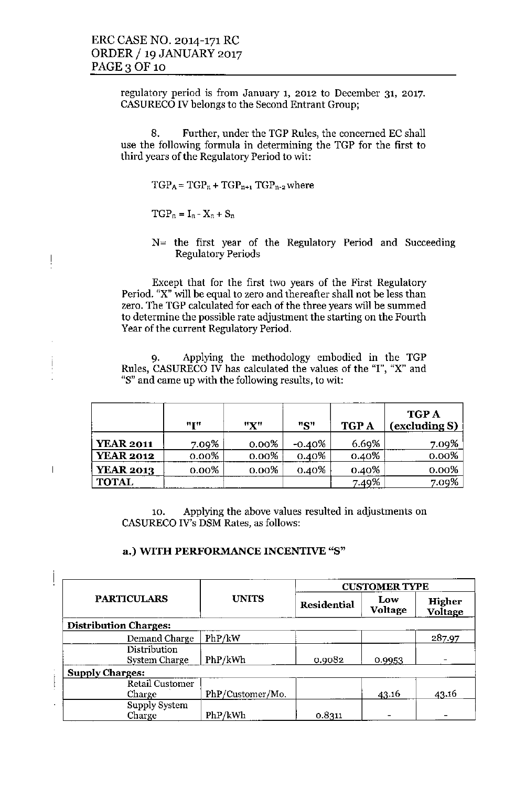regulatory period is from January 1, 2012 to December 31, 2017. CASURECO IV belongs to the Second Entrant Group;

8. Further, under the TGP Rules, the concerned EC shall use the following formula in determining the TGP for the first to third years of the Regulatory Period to wit:

 $TGP_A = TGP_n + TGP_{n+1} TGP_{n-2}$  where

 $TGP_n = I_n - X_n + S_n$ 

 $\frac{1}{2}$ 

 $\overline{\phantom{a}}$ 

 $N =$  the first year of the Regulatory Period and Succeeding Regulatory Periods

Except that for the first two years of the First Regulatory Period. "X" will be equal to zero and thereafter shall not be less than zero. The TGP calculated for each of the three years will be summed to determine the possible rate adjustment the starting on the Fourth Year of the current Regulatory Period.

9. Applying the methodology embodied in the TGP Rules, CASURECO IV has calculated the values of the "I", "X" and "8" and came up with the following results, to wit:

|                  | "I"      | "X"      | "S"       | <b>TGPA</b> | <b>TGP A</b><br>(excluding S) |
|------------------|----------|----------|-----------|-------------|-------------------------------|
| <b>YEAR 2011</b> | 7.09%    | $0.00\%$ | $-0.40\%$ | 6.69%       | 7.09%                         |
| <b>YEAR 2012</b> | $0.00\%$ | $0.00\%$ | $0.40\%$  | 0.40%       | $0.00\%$                      |
| <b>YEAR 2013</b> | $0.00\%$ | $0.00\%$ | 0.40%     | $0.40\%$    | 0.00%                         |
| <b>TOTAL</b>     |          |          |           | 7.49%       | 7.09%                         |

10. Applying the above values resulted in adjustments on CASURECO IV's DSM Rates, as follows:

### a.) WITH PERFORMANCE INCENTTVE "8"

| <b>PARTICULARS</b>           | <b>UNITS</b>     | <b>CUSTOMER TYPE</b> |                |                   |  |  |  |
|------------------------------|------------------|----------------------|----------------|-------------------|--|--|--|
|                              |                  | Residential          | Low<br>Voltage | Higher<br>Voltage |  |  |  |
| <b>Distribution Charges:</b> |                  |                      |                |                   |  |  |  |
| Demand Charge                | PhP/kW           |                      |                | 287.97            |  |  |  |
| Distribution                 |                  |                      |                |                   |  |  |  |
| System Charge                | PhP/kWh          | 0.9082               | 0.9953         |                   |  |  |  |
| <b>Supply Charges:</b>       |                  |                      |                |                   |  |  |  |
| Retail Customer              |                  |                      |                |                   |  |  |  |
| Charge                       | PhP/Customer/Mo. |                      | 43.16          | 43.16             |  |  |  |
| Supply System                |                  |                      |                |                   |  |  |  |
| Charge                       | PhP/kWh          | 0.8311               |                |                   |  |  |  |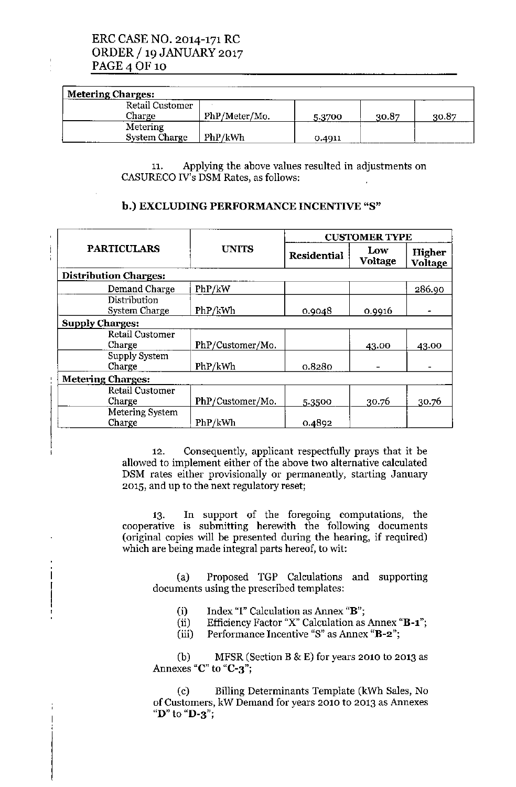# ERC CASE NO. 2014-171 RC ORDER / 19 JANUARY 2017 PAGE 4 OF 10

 $\frac{1}{2}$ 

| <b>Metering Charges:</b> |               |        |       |       |  |
|--------------------------|---------------|--------|-------|-------|--|
| Retail Customer          |               |        |       |       |  |
| Charge                   | PhP/Meter/Mo. | 5.3700 | 30.87 | 30.87 |  |
| Metering                 |               |        |       |       |  |
| <b>System Charge</b>     | PhP/kWh       | 0.4911 |       |       |  |

11. Applying the above values resulted in adjustments on CASURECO IV's DSM Rates, as follows:

### b.) EXCLUDING PERFORMANCE INCENTIVE "8"

| <b>PARTICULARS</b>               | <b>UNITS</b>     | <b>CUSTOMER TYPE</b> |                       |                          |  |
|----------------------------------|------------------|----------------------|-----------------------|--------------------------|--|
|                                  |                  | <b>Residential</b>   | Low<br><b>Voltage</b> | Higher<br><b>Voltage</b> |  |
| <b>Distribution Charges:</b>     |                  |                      |                       |                          |  |
| Demand Charge                    | PhP/kW           |                      |                       | 286.90                   |  |
| Distribution<br>System Charge    | PhP/kWh          | 0.9048               | 0.9916                |                          |  |
| <b>Supply Charges:</b>           |                  |                      |                       |                          |  |
| <b>Retail Customer</b><br>Charge | PhP/Customer/Mo. |                      | 43.00                 | 43.00                    |  |
| Supply System<br>Charge          | PhP/kWh          | 0.8280               |                       |                          |  |
| <b>Metering Charges:</b>         |                  |                      |                       |                          |  |
| Retail Customer<br>Charge        | PhP/Customer/Mo. | 5.3500               | 30.76                 | 30.76                    |  |
| Metering System<br>Charge        | PhP/kWh          | 0.4892               |                       |                          |  |

12. Consequently, applicant respectfully prays that it be allowed to implement either of the above two alternative calculated DSM rates either provisionally or permanently, starting January 2015, and up to the next regulatory reset;

13. In support of the foregoing computations, the cooperative is submitting herewith the following document (original copies will be presented during the hearing, if required) which are being made integral parts hereof, to wit:

(a) Proposed TGP Calculations and supporting documents using the prescribed templates:

- (i) Index "I" Calculation as Annex "B";
- (ii) Efficiency Factor "X" Calculation as Annex "B-1";
- (iii) Performance Incentive "8" as Annex "B-2";

(b) MFSR (Section B  $\&$  E) for years 2010 to 2013 as Annexes "C" to "C-3";

(c) Billing Determinants Template (kWh Sales, No of Customers, kW Demand for years 2010 to 2013 as Annexes "D" to "D-3";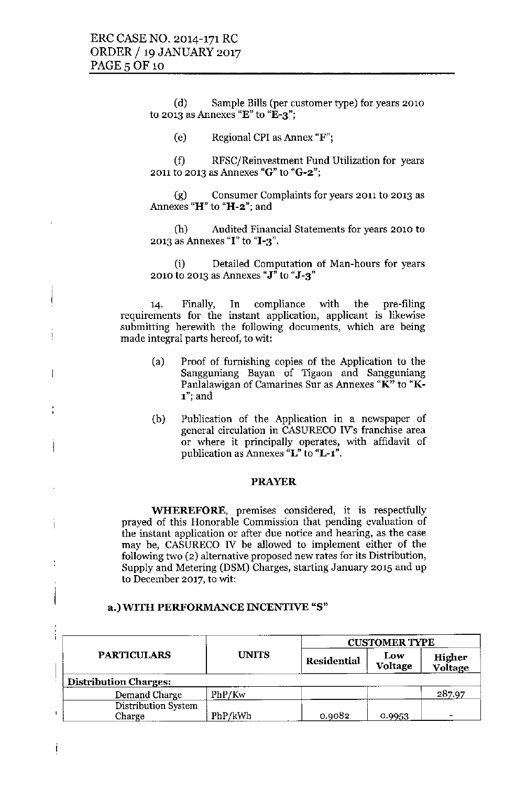ł

 $\overline{\phantom{a}}$ 

Ť

(d) Sample Bills (per customer type) for years 2010 **to 2013 as Annexes "E"to "B-3";**

Ce) Regional CPI as Annex "F";

(f) RFSC/Reinvestment Fund Utilization for years **2011 to 2013 as Annexes "G" to "G-2";**

**(g) Consumer Complaints for years 2011 to 2013 as Annexes "H" to "H-2"; and**

**(h) AuditedFinancialStatementsfor years 2010 to 2013 as Annexes "I"to "1-3".**

Ci) Detailed Computation of Man-hours for years **2010 to 2013 as Annexes "J" to "J-3"**

14. Finally, In compliance with the pre-filing **requirements for the instant application, applicant is likewise submitting herewith the following documents, which are being made integral parts hereof, to wit:**

- Ca) Proof of furnishing copies of the Application to the **Sangguniang Bayan of Tigaon and Sangguniang Panlalawigan of Camarines Sur as Annexes "K" to "K-**1"; and
- Cb) Publication of the Application in a newspaper of **general circulation in CASURECO IV's franchise area or where it principally operates, with affidavit of publication as Annexes "L"to "L-l".**

#### PRAYER

**WHEREFORE, premises considered, it is respectfully prayed of this Honorable Commission that pending evaluation of the instant application or after due notice and hearing, as the case** may be, CASURECO IV be allowed to implement either of the **following two (2) alternative proposed new rates for its Distribution,** Supply and Metering (DSM) Charges, starting January 2015 and up **to December 2017, to wit:**

|                               |              |             | <b>CUSTOMER TYPE</b> |                   |  |  |  |
|-------------------------------|--------------|-------------|----------------------|-------------------|--|--|--|
| <b>PARTICULARS</b>            | <b>UNITS</b> | Residential | Low<br>Voltage       | Higher<br>Voltage |  |  |  |
| <b>Distribution Charges:</b>  |              |             |                      |                   |  |  |  |
| Demand Charge                 | PhP/Kw       |             |                      | 287.97            |  |  |  |
| Distribution System<br>Charge | PhP/kWh      | 0.9082      | 0.9953               |                   |  |  |  |

#### a.)WlTH PERFORMANCE INCENTIVE "S"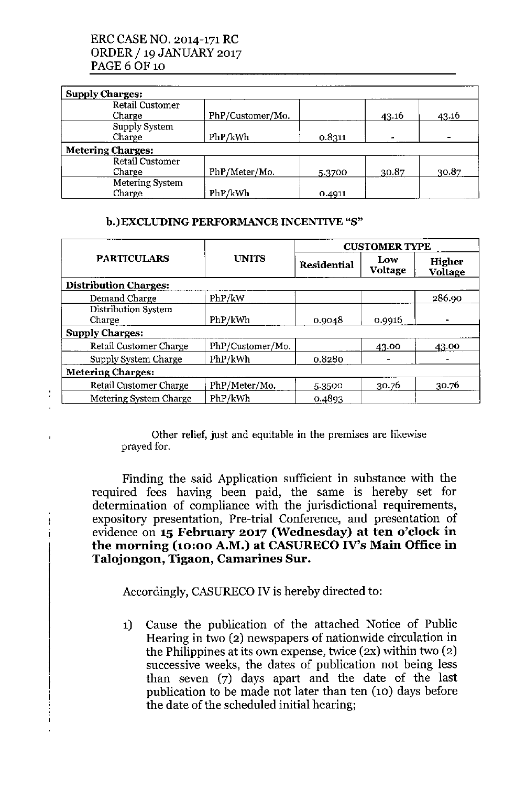# ERCCASENO. 2014-171 RC ORDER / 19 JANUARY 2017 PAGE6 OF 10

| <b>Supply Charges:</b>   |                  |        |       |       |
|--------------------------|------------------|--------|-------|-------|
| <b>Retail Customer</b>   |                  |        |       |       |
| Charge                   | PhP/Customer/Mo. |        | 43.16 | 43.16 |
| Supply System            |                  |        |       |       |
| Charge                   | PhP/kWh          | 0.8311 |       |       |
| <b>Metering Charges:</b> |                  |        |       |       |
| Retail Customer          |                  |        |       |       |
| Charge                   | PhP/Meter/Mo.    | 5.3700 | 30.87 | 30.87 |
| Metering System          |                  |        |       |       |
| Charge                   | PhP/kWh          | 0.4911 |       |       |

### b.)EXCLUDING PERFORMANCE INCENTIVE "8"

| <b>PARTICULARS</b>            | <b>UNITS</b>     | <b>CUSTOMER TYPE</b> |                |                          |  |  |
|-------------------------------|------------------|----------------------|----------------|--------------------------|--|--|
|                               |                  | <b>Residential</b>   | Low<br>Voltage | Higher<br><b>Voltage</b> |  |  |
| <b>Distribution Charges:</b>  |                  |                      |                |                          |  |  |
| Demand Charge                 | PhP/kW           |                      |                | 286.90                   |  |  |
| Distribution System<br>Charge | PhP/kWh          | 0.9048               | 0.9916         |                          |  |  |
| <b>Supply Charges:</b>        |                  |                      |                |                          |  |  |
| Retail Customer Charge        | PhP/Customer/Mo. |                      | 43.00          | 43.00                    |  |  |
| Supply System Charge          | PhP/kWh          | 0.8280               |                |                          |  |  |
| <b>Metering Charges:</b>      |                  |                      |                |                          |  |  |
| Retail Customer Charge        | PhP/Meter/Mo.    | 5.3500               | 30.76          | 30.76                    |  |  |
| Metering System Charge        | PhP/kWh          | 0.4893               |                |                          |  |  |

Other relief, just and equitable in the premises are likewise prayed for.

Finding the said Application sufficient in substance with the required fees having been paid, the same is hereby set for determination of compliance with the jurisdictional requirements, expository presentation, Pre-trial Conference, and presentation of evidence on 15 February 2017 (Wednesday) at ten o'clock in the morning (10:00 A.M.) at CASURECO IV's Main Office in Talojongon, Tigaon, Camarines Sur.

Accordingly, CASURECO IV is hereby directed to:

1) Cause the publication of the attached Notice of Public Hearing in two (2) newspapers of nationwide circulation in the Philippines at its own expense, twice (2X) within two (2) successive weeks, the dates of publication not being less than seven (7) days apart and the date of the last publication to be made not later than ten (10) days before the date of the scheduled initial hearing;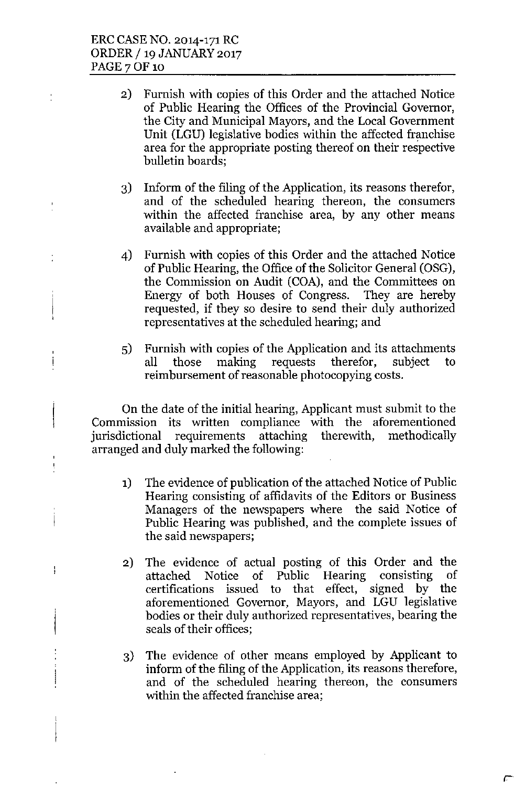ţ

ţ

ļ

ł

- 2) Furnish with copies of this Order and the attached Notice of Public Hearing the Offices of the Provincial Governor, the City and Municipal Mayors, and the Local Government Unit (LGU) legislative bodies within the affected franchise area for the appropriate posting thereof on their respective bulletin boards;
- 3) Inform of the filing of the Application, its reasons therefor, and of the scheduled hearing thereon, the consumers within the affected franchise area, by any other means available and appropriate;
- 4) Furnish with copies of this Order and the attached Notice of Public Hearing, the Office of the Solicitor General (OSG), the Commission on Audit (COA), and the Committees on Energy of both Houses of Congress. They are hereby requested, if they so desire to send their duly authorized representatives at the scheduled hearing; and
- 5) Furnish with copies of the Application and its attachments all those making requests therefor, subject to reimbursement of reasonable photocopying costs.

On the date of the initial hearing, Applicant must submit to the Commission its written compliance with the aforementioned jurisdictional requirements attaching therewith, methodically arranged and duly marked the following:

- 1) The evidence of publication of the attached Notice of Public Hearing consisting of affidavits of the Editors or Business Managers of the newspapers where the said Notice of Public Hearing was published, and the complete issues of the said newspapers;
- 2) The evidence of actual posting of this Order and the attached Notice of Public Hearing consisting of certifications issued to that effect, signed by the aforementioned Governor, Mayors, and LGU legislative bodies or their duly authorized representatives, bearing the seals of their offices;
- 3) The evidence of other means employed by Applicant to inform of the filing of the Application, its reasons therefore, and of the scheduled hearing thereon, the consumers within the affected franchise area;

С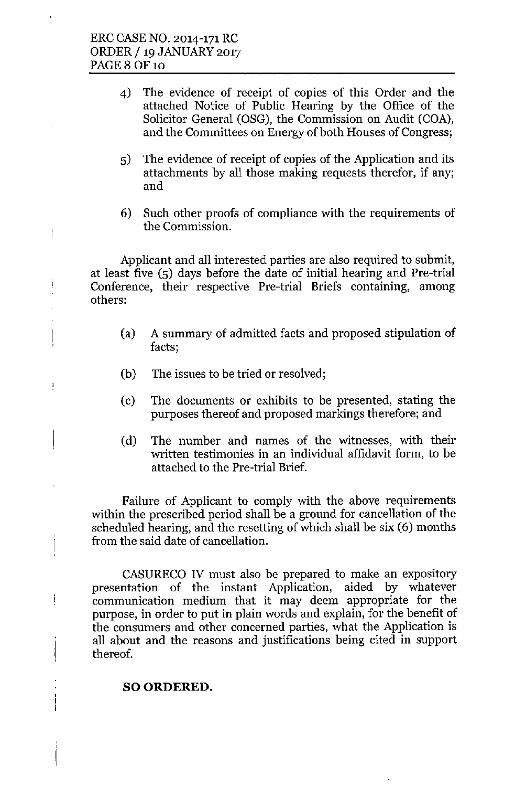÷

 $\frac{1}{2}$ 

į

ţ

İ

- 4) The evidence of receipt of copies of this Order and the attached Notice of Public Hearing by the Office of the Solicitor General (OSG), the Commission on Audit (COA), and the Committees on Energy of both Houses of Congress;
- 5) The evidence of receipt of copies of the Application and its attachments by all those making requests therefor, if any; and
- 6) Such other proofs of compliance with the requirements of the Commission.

Applicant and all interested parties are also required to submit, at least five (5) days before the date of initial hearing and Pre-trial Conference, their respective Pre-trial Briefs containing, among others:

- (a) A summary of admitted facts and proposed stipulation of facts;
- (b) The issues to be tried or resolved;
- (c) The documents or exhibits to be presented, stating the purposes thereof and proposed markings therefore; and
- (d) The number and names of the witnesses, with their written testimonies in an individual affidavit form, to be attached to the Pre-trial Brief.

Failure of Applicant to comply with the above requirements within the prescribed period shall be a ground for cancellation of the scheduled hearing, and the resetting of which shall be six (6) months from the said date of cancellation.

CASURECO IV must also be prepared to make an expository presentation of the instant Application, aided by whatever communication medium that it may deem appropriate for the purpose, in order to put in plain words and explain, for the benefit of the consumers and other concerned parties, what the Application is all about and the reasons and justifications being cited in support thereof.

### SO ORDERED.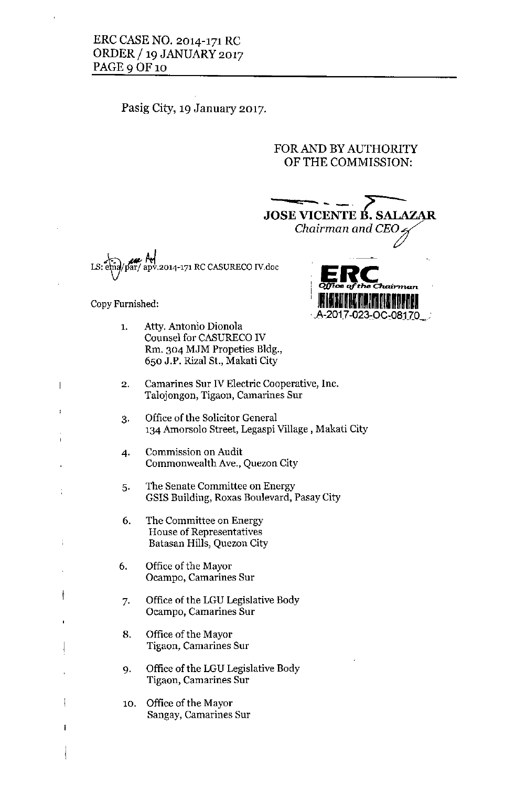## ERC CASE NO. 2014-171 RC ORDER / 19 JANUARY 2017 PAGE 9 OF 10

# Pasig City, 19 January 2017.

# FOR AND BY AUTHORITY OF THE COMMISSION:



A-2017-023-OC-08170

**Copy Furnished:**

- 1. Atty. Antonio Dionola Counsel for CASURECO IV Rm. 304 MJM Propeties Bldg., 650 J.P. Rizal St., Makati City
- **2. Camarines Sur IV Electric Cooperative, Inc. Talojongon, Tigaon, Camarines Sur**
- 3. Office of the Solicitor General 134 Amorsolo Street, Legaspi Village, Makati City
- **4. Commission on Audit Commonwealth Ave., Quezon City**
- **5. The Senate Committee on Energy** GSIS Building, Roxas Boulevard, Pasay City
- **6. The Committee on Energy House of Representatives** Batasan Hills, Quezon City
- 6. Office of the Mayor **Ocampo, Camarines Sur**

t

ŧ

 $\mathbf{I}$ 

 $\overline{\phantom{a}}$ 

ł

- 7. Office of the LGU Legislative Body **Ocampo, Camarines Sur**
- 8. Office of the Mayor **Tigaon, Camarines Sur**
- 9. Office of the LGU Legislative Body **Tigaon, Camarines Sur**
- 10. Office of the Mayor **Sangay, Camarines Sur**